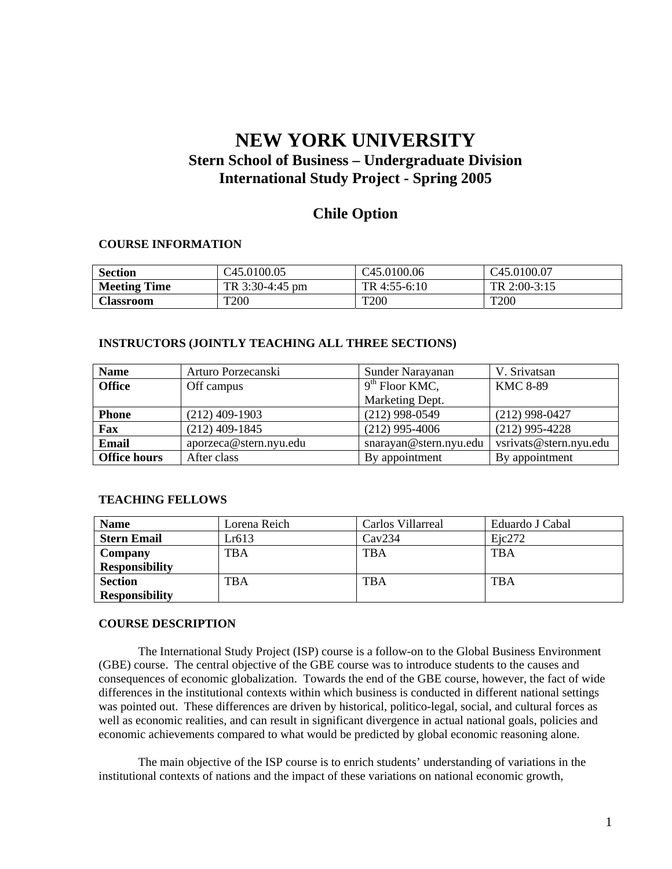# **NEW YORK UNIVERSITY Stern School of Business – Undergraduate Division International Study Project - Spring 2005**

# **Chile Option**

#### **COURSE INFORMATION**

| Section             | C45.0100.05     | C <sub>45.0100.06</sub> | C <sub>45.0100.07</sub> |
|---------------------|-----------------|-------------------------|-------------------------|
| <b>Meeting Time</b> | TR 3:30-4:45 pm | TR 4:55-6:10            | TR $2:00-3:15$          |
| Classroom           | T200            | T <sub>200</sub>        | <b>T200</b>             |

## **INSTRUCTORS (JOINTLY TEACHING ALL THREE SECTIONS)**

| <b>Name</b>         | Arturo Porzecanski     | Sunder Narayanan       | V. Srivatsan           |
|---------------------|------------------------|------------------------|------------------------|
| <b>Office</b>       | Off campus             | $9th$ Floor KMC,       | <b>KMC 8-89</b>        |
|                     |                        | Marketing Dept.        |                        |
| <b>Phone</b>        | $(212)$ 409-1903       | $(212)$ 998-0549       | $(212)$ 998-0427       |
| Fax                 | $(212)$ 409-1845       | $(212)$ 995-4006       | $(212)$ 995-4228       |
| <b>Email</b>        | aporzeca@stern.nyu.edu | snarayan@stern.nyu.edu | vsrivats@stern.nyu.edu |
| <b>Office hours</b> | After class            | By appointment         | By appointment         |

#### **TEACHING FELLOWS**

| <b>Name</b>           | Lorena Reich | Carlos Villarreal | Eduardo J Cabal |
|-----------------------|--------------|-------------------|-----------------|
| <b>Stern Email</b>    | Lr613        | Cav234            | Eic272          |
| Company               | TBA          | TBA               | TBA             |
| <b>Responsibility</b> |              |                   |                 |
| <b>Section</b>        | TBA          | <b>TBA</b>        | <b>TBA</b>      |
| <b>Responsibility</b> |              |                   |                 |

#### **COURSE DESCRIPTION**

 The International Study Project (ISP) course is a follow-on to the Global Business Environment (GBE) course. The central objective of the GBE course was to introduce students to the causes and consequences of economic globalization. Towards the end of the GBE course, however, the fact of wide differences in the institutional contexts within which business is conducted in different national settings was pointed out. These differences are driven by historical, politico-legal, social, and cultural forces as well as economic realities, and can result in significant divergence in actual national goals, policies and economic achievements compared to what would be predicted by global economic reasoning alone.

The main objective of the ISP course is to enrich students' understanding of variations in the institutional contexts of nations and the impact of these variations on national economic growth,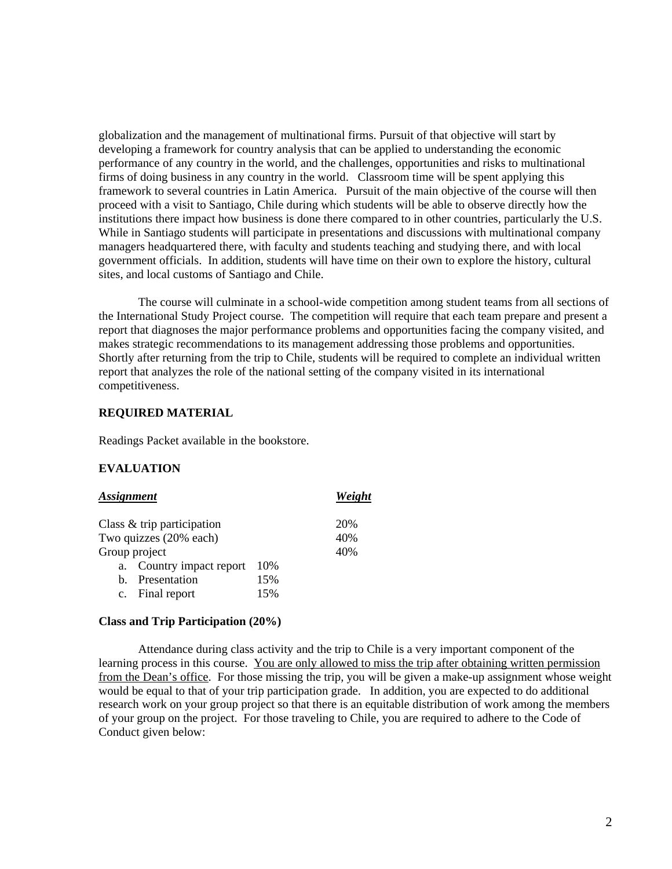globalization and the management of multinational firms. Pursuit of that objective will start by developing a framework for country analysis that can be applied to understanding the economic performance of any country in the world, and the challenges, opportunities and risks to multinational firms of doing business in any country in the world. Classroom time will be spent applying this framework to several countries in Latin America. Pursuit of the main objective of the course will then proceed with a visit to Santiago, Chile during which students will be able to observe directly how the institutions there impact how business is done there compared to in other countries, particularly the U.S. While in Santiago students will participate in presentations and discussions with multinational company managers headquartered there, with faculty and students teaching and studying there, and with local government officials. In addition, students will have time on their own to explore the history, cultural sites, and local customs of Santiago and Chile.

The course will culminate in a school-wide competition among student teams from all sections of the International Study Project course. The competition will require that each team prepare and present a report that diagnoses the major performance problems and opportunities facing the company visited, and makes strategic recommendations to its management addressing those problems and opportunities. Shortly after returning from the trip to Chile, students will be required to complete an individual written report that analyzes the role of the national setting of the company visited in its international competitiveness.

## **REQUIRED MATERIAL**

Readings Packet available in the bookstore.

#### **EVALUATION**

| <b>Assignment</b> | Weight                        |     |     |
|-------------------|-------------------------------|-----|-----|
|                   | Class $\&$ trip participation |     | 20% |
|                   | Two quizzes (20% each)        |     | 40% |
|                   | Group project                 |     | 40% |
| a.                | Country impact report         | 10% |     |
| b.                | Presentation                  | 15% |     |
| $\mathbf{c}$ .    | Final report                  | 15% |     |

#### **Class and Trip Participation (20%)**

 Attendance during class activity and the trip to Chile is a very important component of the learning process in this course. You are only allowed to miss the trip after obtaining written permission from the Dean's office. For those missing the trip, you will be given a make-up assignment whose weight would be equal to that of your trip participation grade. In addition, you are expected to do additional research work on your group project so that there is an equitable distribution of work among the members of your group on the project. For those traveling to Chile, you are required to adhere to the Code of Conduct given below: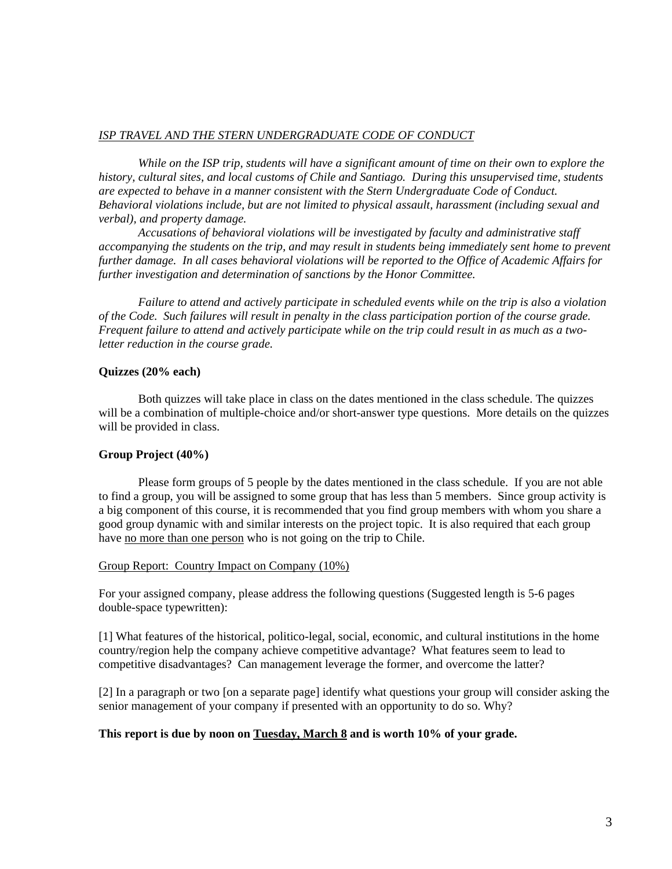#### *ISP TRAVEL AND THE STERN UNDERGRADUATE CODE OF CONDUCT*

*While on the ISP trip, students will have a significant amount of time on their own to explore the history, cultural sites, and local customs of Chile and Santiago. During this unsupervised time, students are expected to behave in a manner consistent with the Stern Undergraduate Code of Conduct. Behavioral violations include, but are not limited to physical assault, harassment (including sexual and verbal), and property damage.* 

*Accusations of behavioral violations will be investigated by faculty and administrative staff accompanying the students on the trip, and may result in students being immediately sent home to prevent further damage. In all cases behavioral violations will be reported to the Office of Academic Affairs for further investigation and determination of sanctions by the Honor Committee.* 

*Failure to attend and actively participate in scheduled events while on the trip is also a violation of the Code. Such failures will result in penalty in the class participation portion of the course grade. Frequent failure to attend and actively participate while on the trip could result in as much as a twoletter reduction in the course grade.* 

## **Quizzes (20% each)**

 Both quizzes will take place in class on the dates mentioned in the class schedule. The quizzes will be a combination of multiple-choice and/or short-answer type questions. More details on the quizzes will be provided in class.

## **Group Project (40%)**

 Please form groups of 5 people by the dates mentioned in the class schedule. If you are not able to find a group, you will be assigned to some group that has less than 5 members. Since group activity is a big component of this course, it is recommended that you find group members with whom you share a good group dynamic with and similar interests on the project topic. It is also required that each group have no more than one person who is not going on the trip to Chile.

#### Group Report: Country Impact on Company (10%)

For your assigned company, please address the following questions (Suggested length is 5-6 pages double-space typewritten):

[1] What features of the historical, politico-legal, social, economic, and cultural institutions in the home country/region help the company achieve competitive advantage? What features seem to lead to competitive disadvantages? Can management leverage the former, and overcome the latter?

[2] In a paragraph or two [on a separate page] identify what questions your group will consider asking the senior management of your company if presented with an opportunity to do so. Why?

## **This report is due by noon on Tuesday, March 8 and is worth 10% of your grade.**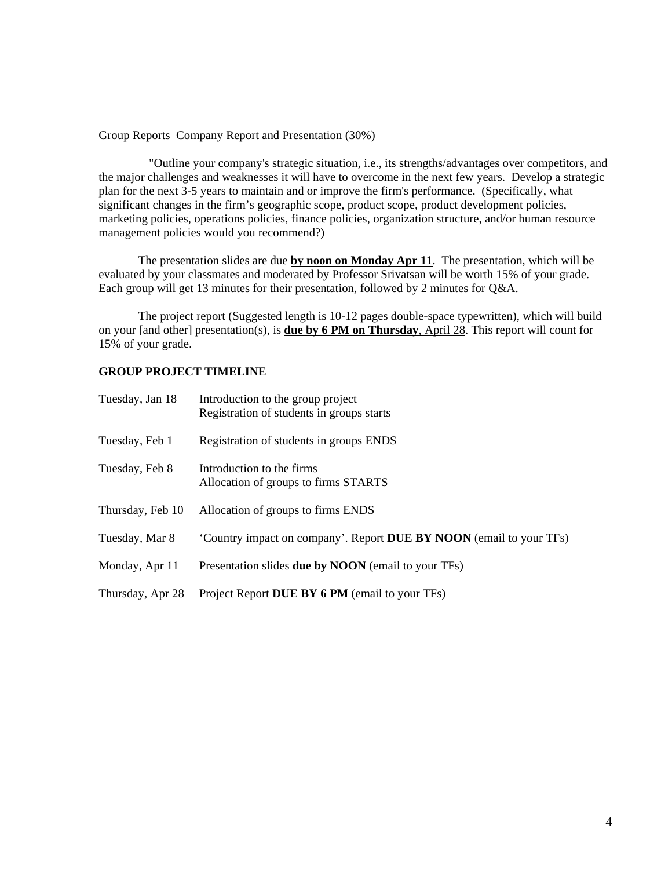#### Group Reports Company Report and Presentation (30%)

 "Outline your company's strategic situation, i.e., its strengths/advantages over competitors, and the major challenges and weaknesses it will have to overcome in the next few years. Develop a strategic plan for the next 3-5 years to maintain and or improve the firm's performance. (Specifically, what significant changes in the firm's geographic scope, product scope, product development policies, marketing policies, operations policies, finance policies, organization structure, and/or human resource management policies would you recommend?)

The presentation slides are due **by noon on Monday Apr 11**. The presentation, which will be evaluated by your classmates and moderated by Professor Srivatsan will be worth 15% of your grade. Each group will get 13 minutes for their presentation, followed by 2 minutes for Q&A.

The project report (Suggested length is 10-12 pages double-space typewritten), which will build on your [and other] presentation(s), is **due by 6 PM on Thursday**, April 28. This report will count for 15% of your grade.

# **GROUP PROJECT TIMELINE**

| Tuesday, Jan 18  | Introduction to the group project<br>Registration of students in groups starts |
|------------------|--------------------------------------------------------------------------------|
| Tuesday, Feb 1   | Registration of students in groups ENDS                                        |
| Tuesday, Feb 8   | Introduction to the firms<br>Allocation of groups to firms STARTS              |
| Thursday, Feb 10 | Allocation of groups to firms ENDS                                             |
| Tuesday, Mar 8   | 'Country impact on company'. Report <b>DUE BY NOON</b> (email to your TFs)     |
| Monday, Apr 11   | Presentation slides <b>due by NOON</b> (email to your TFs)                     |
| Thursday, Apr 28 | Project Report DUE BY 6 PM (email to your TFs)                                 |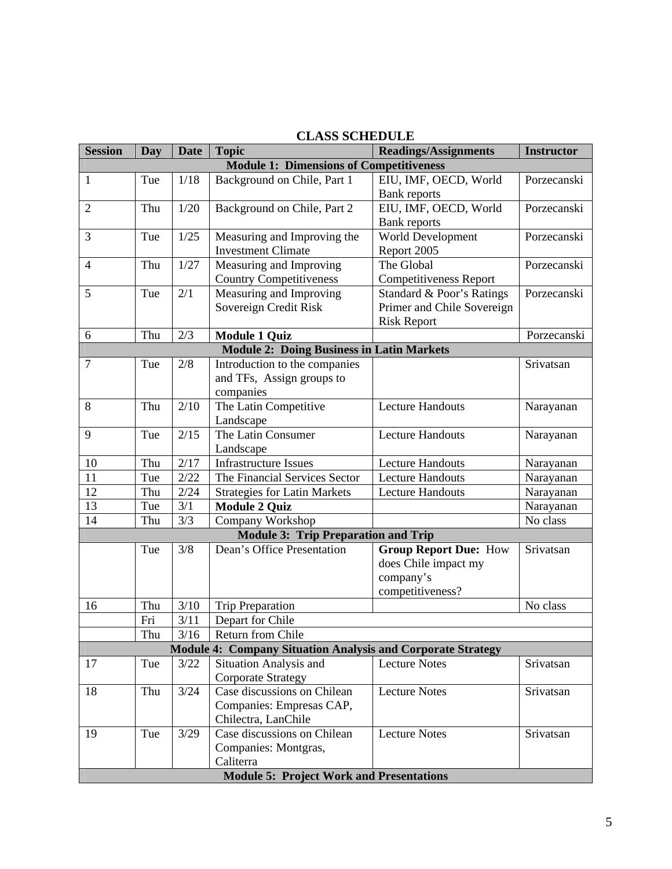| СЕАВЯ ЯСШЕРОЕВ                                 |     |             |                                                                    |                               |                   |
|------------------------------------------------|-----|-------------|--------------------------------------------------------------------|-------------------------------|-------------------|
| <b>Session</b>                                 | Day | <b>Date</b> | <b>Topic</b>                                                       | <b>Readings/Assignments</b>   | <b>Instructor</b> |
| <b>Module 1: Dimensions of Competitiveness</b> |     |             |                                                                    |                               |                   |
| 1                                              | Tue | 1/18        | Background on Chile, Part 1                                        | EIU, IMF, OECD, World         | Porzecanski       |
|                                                |     |             |                                                                    | <b>Bank</b> reports           |                   |
| $\overline{2}$                                 | Thu | $1/20$      | Background on Chile, Part 2                                        | EIU, IMF, OECD, World         | Porzecanski       |
|                                                |     |             |                                                                    | <b>Bank</b> reports           |                   |
| 3                                              | Tue | 1/25        | Measuring and Improving the                                        | World Development             | Porzecanski       |
|                                                |     |             | <b>Investment Climate</b>                                          | Report 2005                   |                   |
| $\overline{4}$                                 | Thu | 1/27        | Measuring and Improving                                            | The Global                    | Porzecanski       |
|                                                |     |             | <b>Country Competitiveness</b>                                     | <b>Competitiveness Report</b> |                   |
| 5                                              | Tue | 2/1         | Measuring and Improving                                            | Standard & Poor's Ratings     | Porzecanski       |
|                                                |     |             | Sovereign Credit Risk                                              | Primer and Chile Sovereign    |                   |
|                                                |     |             |                                                                    | <b>Risk Report</b>            |                   |
| 6                                              | Thu | 2/3         | <b>Module 1 Quiz</b>                                               |                               | Porzecanski       |
|                                                |     |             | <b>Module 2: Doing Business in Latin Markets</b>                   |                               |                   |
| $\overline{7}$                                 | Tue | 2/8         | Introduction to the companies                                      |                               | Srivatsan         |
|                                                |     |             | and TFs, Assign groups to                                          |                               |                   |
|                                                |     |             | companies                                                          |                               |                   |
| 8                                              | Thu | 2/10        | The Latin Competitive                                              | <b>Lecture Handouts</b>       | Narayanan         |
|                                                |     |             | Landscape                                                          |                               |                   |
| 9                                              | Tue | 2/15        | The Latin Consumer                                                 | <b>Lecture Handouts</b>       | Narayanan         |
|                                                |     |             | Landscape                                                          |                               |                   |
| 10                                             | Thu | 2/17        | <b>Infrastructure Issues</b>                                       | <b>Lecture Handouts</b>       | Narayanan         |
| 11                                             | Tue | 2/22        | The Financial Services Sector                                      | <b>Lecture Handouts</b>       | Narayanan         |
| 12                                             | Thu | 2/24        | <b>Strategies for Latin Markets</b>                                | <b>Lecture Handouts</b>       | Narayanan         |
| 13                                             | Tue | 3/1         | <b>Module 2 Quiz</b>                                               |                               | Narayanan         |
| 14                                             | Thu | 3/3         | Company Workshop                                                   |                               | No class          |
|                                                |     |             | <b>Module 3: Trip Preparation and Trip</b>                         |                               |                   |
|                                                | Tue | 3/8         | Dean's Office Presentation                                         | <b>Group Report Due: How</b>  | Srivatsan         |
|                                                |     |             |                                                                    | does Chile impact my          |                   |
|                                                |     |             |                                                                    | company's                     |                   |
|                                                |     |             |                                                                    | competitiveness?              |                   |
| 16                                             | Thu | 3/10        | <b>Trip Preparation</b>                                            |                               | No class          |
|                                                | Fri | 3/11        | Depart for Chile                                                   |                               |                   |
|                                                | Thu | 3/16        | Return from Chile                                                  |                               |                   |
|                                                |     |             | <b>Module 4: Company Situation Analysis and Corporate Strategy</b> |                               |                   |
| 17                                             | Tue | 3/22        | <b>Situation Analysis and</b>                                      | <b>Lecture Notes</b>          | Srivatsan         |
|                                                |     |             | <b>Corporate Strategy</b>                                          |                               |                   |
| 18                                             | Thu | 3/24        | Case discussions on Chilean                                        | <b>Lecture Notes</b>          | Srivatsan         |
|                                                |     |             | Companies: Empresas CAP,                                           |                               |                   |
|                                                |     |             | Chilectra, LanChile                                                |                               |                   |
| 19                                             | Tue | 3/29        | Case discussions on Chilean                                        | <b>Lecture Notes</b>          | Srivatsan         |
|                                                |     |             | Companies: Montgras,                                               |                               |                   |
|                                                |     |             | Caliterra                                                          |                               |                   |
|                                                |     |             | <b>Module 5: Project Work and Presentations</b>                    |                               |                   |

# **CLASS SCHEDULE**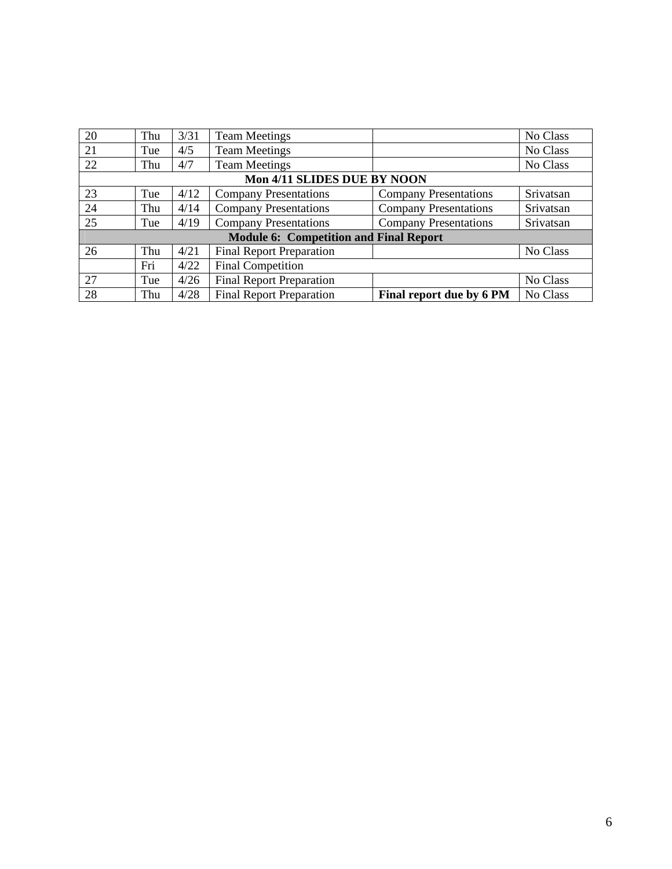| 20                                            | Thu | 3/31 | <b>Team Meetings</b>            |                              | No Class  |
|-----------------------------------------------|-----|------|---------------------------------|------------------------------|-----------|
| 21                                            | Tue | 4/5  | <b>Team Meetings</b>            |                              | No Class  |
| 22                                            | Thu | 4/7  | <b>Team Meetings</b>            |                              | No Class  |
| Mon 4/11 SLIDES DUE BY NOON                   |     |      |                                 |                              |           |
| 23                                            | Tue | 4/12 | <b>Company Presentations</b>    | <b>Company Presentations</b> | Srivatsan |
| 24                                            | Thu | 4/14 | <b>Company Presentations</b>    | <b>Company Presentations</b> | Srivatsan |
| 25                                            | Tue | 4/19 | <b>Company Presentations</b>    | <b>Company Presentations</b> | Srivatsan |
| <b>Module 6: Competition and Final Report</b> |     |      |                                 |                              |           |
| 26                                            | Thu | 4/21 | <b>Final Report Preparation</b> |                              | No Class  |
|                                               | Fri | 4/22 | <b>Final Competition</b>        |                              |           |
| 27                                            | Tue | 4/26 | <b>Final Report Preparation</b> |                              | No Class  |
| 28                                            | Thu | 4/28 | <b>Final Report Preparation</b> | Final report due by 6 PM     | No Class  |